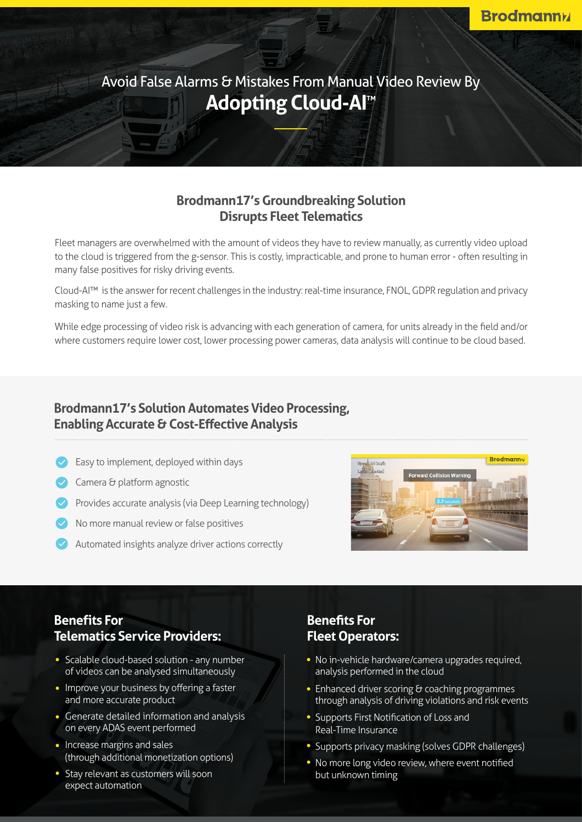Avoid False Alarms & Mistakes From Manual Video Review By **Adopting Cloud-Al™** 

## **Brodmann17's Groundbreaking Solution Disrupts Fleet Telematics**

Fleet managers are overwhelmed with the amount of videos they have to review manually, as currently video upload to the cloud is triggered from the g-sensor. This is costly, impracticable, and prone to human error - often resulting in many false positives for risky driving events.

Cloud-AI™ is the answer for recent challenges in the industry: real-time insurance, FNOL, GDPR regulation and privacy masking to name just a few.

While edge processing of video risk is advancing with each generation of camera, for units already in the field and/or where customers require lower cost, lower processing power cameras, data analysis will continue to be cloud based.

## **Brodmann17's Solution Automates Video Processing, Enabling Accurate & Cost-Effective Analysis**

- $\vee$  Easy to implement, deployed within days
- $\vee$  Camera & platform agnostic
- Provides accurate analysis (via Deep Learning technology)
- No more manual review or false positives
- Automated insights analyze driver actions correctly



## **Benefits** For **Telematics Service Providers:**

- Scalable cloud-based solution any number of videos can be analysed simultaneously
- Improve your business by offering a faster and more accurate product
- Generate detailed information and analysis on every ADAS event performed
- Increase margins and sales (through additional monetization options)
- Stay relevant as customers will soon expect automation

# **Benefits** For **Fleet Operators:**

- No in-vehicle hardware/camera upgrades required. analysis performed in the cloud
- **Enhanced driver scoring & coaching programmes** through analysis of driving violations and risk events
- Supports First Notification of Loss and Real-Time Insurance
- Supports privacy masking (solves GDPR challenges)
- No more long video review, where event notified but unknown timing